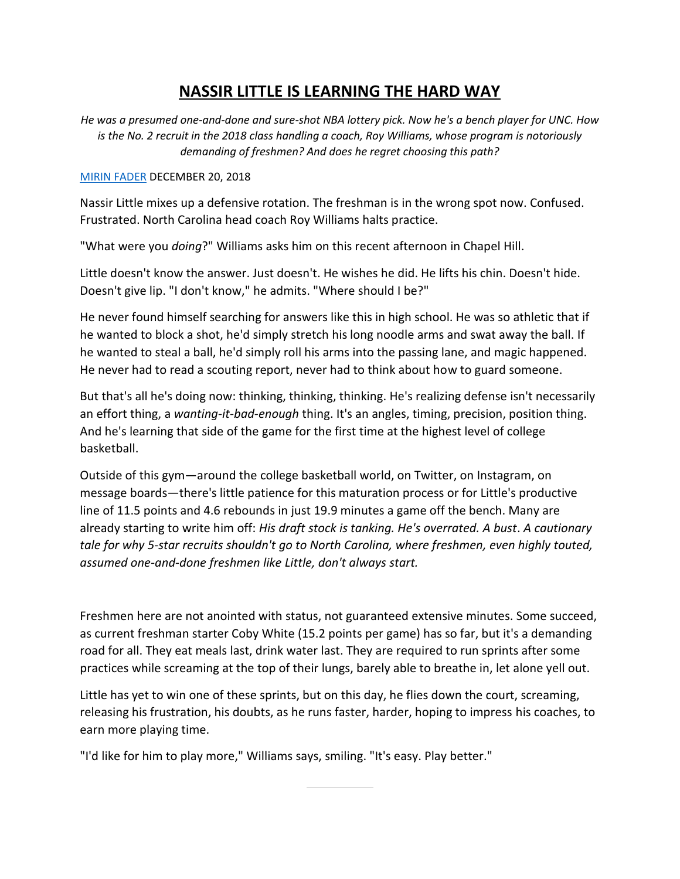## **NASSIR LITTLE IS LEARNING THE HARD WAY**

*He was a presumed one-and-done and sure-shot NBA lottery pick. Now he's a bench player for UNC. How is the No. 2 recruit in the 2018 class handling a coach, Roy Williams, whose program is notoriously demanding of freshmen? And does he regret choosing this path?*

## [MIRIN FADER](https://bleacherreport.com/users/8071860) DECEMBER 20, 2018

Nassir Little mixes up a defensive rotation. The freshman is in the wrong spot now. Confused. Frustrated. North Carolina head coach Roy Williams halts practice.

"What were you *doing*?" Williams asks him on this recent afternoon in Chapel Hill.

Little doesn't know the answer. Just doesn't. He wishes he did. He lifts his chin. Doesn't hide. Doesn't give lip. "I don't know," he admits. "Where should I be?"

He never found himself searching for answers like this in high school. He was so athletic that if he wanted to block a shot, he'd simply stretch his long noodle arms and swat away the ball. If he wanted to steal a ball, he'd simply roll his arms into the passing lane, and magic happened. He never had to read a scouting report, never had to think about how to guard someone.

But that's all he's doing now: thinking, thinking, thinking. He's realizing defense isn't necessarily an effort thing, a *wanting-it-bad-enough* thing. It's an angles, timing, precision, position thing. And he's learning that side of the game for the first time at the highest level of college basketball.

Outside of this gym—around the college basketball world, on Twitter, on Instagram, on message boards—there's little patience for this maturation process or for Little's productive line of 11.5 points and 4.6 rebounds in just 19.9 minutes a game off the bench. Many are already starting to write him off: *His draft stock is tanking. He's overrated. A bust*. *A cautionary tale for why 5-star recruits shouldn't go to North Carolina, where freshmen, even highly touted, assumed one-and-done freshmen like Little, don't always start.*

Freshmen here are not anointed with status, not guaranteed extensive minutes. Some succeed, as current freshman starter Coby White (15.2 points per game) has so far, but it's a demanding road for all. They eat meals last, drink water last. They are required to run sprints after some practices while screaming at the top of their lungs, barely able to breathe in, let alone yell out.

Little has yet to win one of these sprints, but on this day, he flies down the court, screaming, releasing his frustration, his doubts, as he runs faster, harder, hoping to impress his coaches, to earn more playing time.

"I'd like for him to play more," Williams says, smiling. "It's easy. Play better."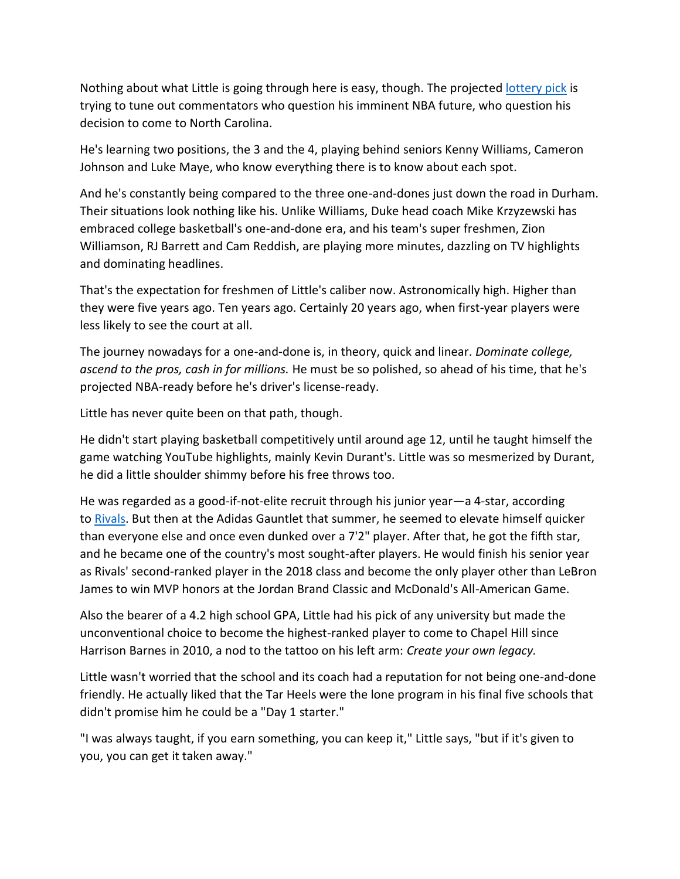Nothing about what Little is going through here is easy, though. The projected [lottery pick](https://hoopshype.com/2018/12/17/zion-williamson-mock-draft-college-basketball-rumors-updates/) is trying to tune out commentators who question his imminent NBA future, who question his decision to come to North Carolina.

He's learning two positions, the 3 and the 4, playing behind seniors Kenny Williams, Cameron Johnson and Luke Maye, who know everything there is to know about each spot.

And he's constantly being compared to the three one-and-dones just down the road in Durham. Their situations look nothing like his. Unlike Williams, Duke head coach Mike Krzyzewski has embraced college basketball's one-and-done era, and his team's super freshmen, Zion Williamson, RJ Barrett and Cam Reddish, are playing more minutes, dazzling on TV highlights and dominating headlines.

That's the expectation for freshmen of Little's caliber now. Astronomically high. Higher than they were five years ago. Ten years ago. Certainly 20 years ago, when first-year players were less likely to see the court at all.

The journey nowadays for a one-and-done is, in theory, quick and linear. *Dominate college, ascend to the pros, cash in for millions.* He must be so polished, so ahead of his time, that he's projected NBA-ready before he's driver's license-ready.

Little has never quite been on that path, though.

He didn't start playing basketball competitively until around age 12, until he taught himself the game watching YouTube highlights, mainly Kevin Durant's. Little was so mesmerized by Durant, he did a little shoulder shimmy before his free throws too.

He was regarded as a good-if-not-elite recruit through his junior year—a 4-star, according to [Rivals.](https://n.rivals.com/content/prospects/2018/nassir-little-2758) But then at the Adidas Gauntlet that summer, he seemed to elevate himself quicker than everyone else and once even dunked over a 7'2" player. After that, he got the fifth star, and he became one of the country's most sought-after players. He would finish his senior year as Rivals' second-ranked player in the 2018 class and become the only player other than LeBron James to win MVP honors at the Jordan Brand Classic and McDonald's All-American Game.

Also the bearer of a 4.2 high school GPA, Little had his pick of any university but made the unconventional choice to become the highest-ranked player to come to Chapel Hill since Harrison Barnes in 2010, a nod to the tattoo on his left arm: *Create your own legacy.*

Little wasn't worried that the school and its coach had a reputation for not being one-and-done friendly. He actually liked that the Tar Heels were the lone program in his final five schools that didn't promise him he could be a "Day 1 starter."

"I was always taught, if you earn something, you can keep it," Little says, "but if it's given to you, you can get it taken away."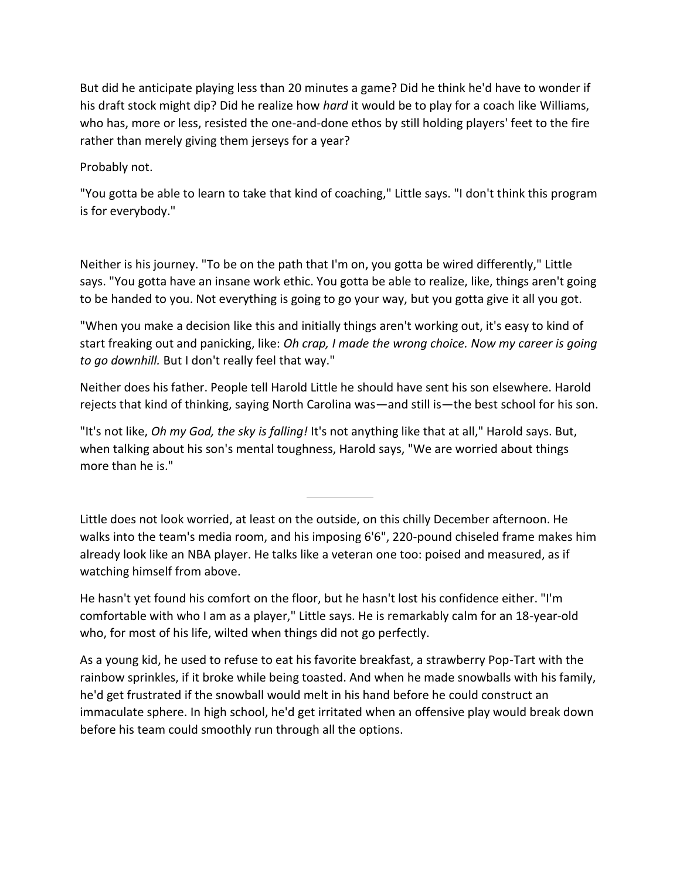But did he anticipate playing less than 20 minutes a game? Did he think he'd have to wonder if his draft stock might dip? Did he realize how *hard* it would be to play for a coach like Williams, who has, more or less, resisted the one-and-done ethos by still holding players' feet to the fire rather than merely giving them jerseys for a year?

Probably not.

"You gotta be able to learn to take that kind of coaching," Little says. "I don't think this program is for everybody."

Neither is his journey. "To be on the path that I'm on, you gotta be wired differently," Little says. "You gotta have an insane work ethic. You gotta be able to realize, like, things aren't going to be handed to you. Not everything is going to go your way, but you gotta give it all you got.

"When you make a decision like this and initially things aren't working out, it's easy to kind of start freaking out and panicking, like: *Oh crap, I made the wrong choice. Now my career is going to go downhill.* But I don't really feel that way."

Neither does his father. People tell Harold Little he should have sent his son elsewhere. Harold rejects that kind of thinking, saying North Carolina was—and still is—the best school for his son.

"It's not like, *Oh my God, the sky is falling!* It's not anything like that at all," Harold says. But, when talking about his son's mental toughness, Harold says, "We are worried about things more than he is."

Little does not look worried, at least on the outside, on this chilly December afternoon. He walks into the team's media room, and his imposing 6'6", 220-pound chiseled frame makes him already look like an NBA player. He talks like a veteran one too: poised and measured, as if watching himself from above.

He hasn't yet found his comfort on the floor, but he hasn't lost his confidence either. "I'm comfortable with who I am as a player," Little says. He is remarkably calm for an 18-year-old who, for most of his life, wilted when things did not go perfectly.

As a young kid, he used to refuse to eat his favorite breakfast, a strawberry Pop-Tart with the rainbow sprinkles, if it broke while being toasted. And when he made snowballs with his family, he'd get frustrated if the snowball would melt in his hand before he could construct an immaculate sphere. In high school, he'd get irritated when an offensive play would break down before his team could smoothly run through all the options.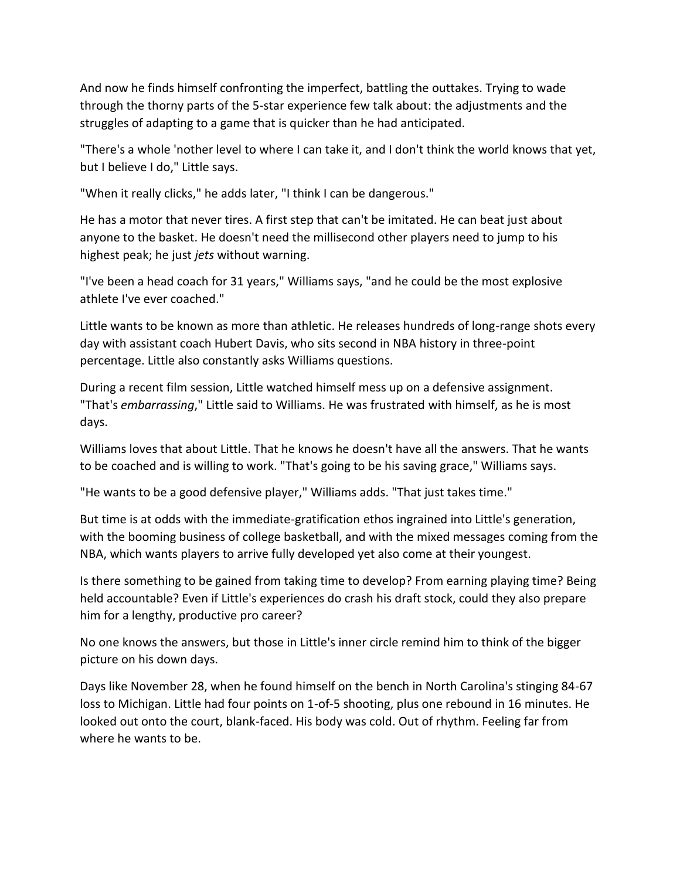And now he finds himself confronting the imperfect, battling the outtakes. Trying to wade through the thorny parts of the 5-star experience few talk about: the adjustments and the struggles of adapting to a game that is quicker than he had anticipated.

"There's a whole 'nother level to where I can take it, and I don't think the world knows that yet, but I believe I do," Little says.

"When it really clicks," he adds later, "I think I can be dangerous."

He has a motor that never tires. A first step that can't be imitated. He can beat just about anyone to the basket. He doesn't need the millisecond other players need to jump to his highest peak; he just *jets* without warning.

"I've been a head coach for 31 years," Williams says, "and he could be the most explosive athlete I've ever coached."

Little wants to be known as more than athletic. He releases hundreds of long-range shots every day with assistant coach Hubert Davis, who sits second in NBA history in three-point percentage. Little also constantly asks Williams questions.

During a recent film session, Little watched himself mess up on a defensive assignment. "That's *embarrassing*," Little said to Williams. He was frustrated with himself, as he is most days.

Williams loves that about Little. That he knows he doesn't have all the answers. That he wants to be coached and is willing to work. "That's going to be his saving grace," Williams says.

"He wants to be a good defensive player," Williams adds. "That just takes time."

But time is at odds with the immediate-gratification ethos ingrained into Little's generation, with the booming business of college basketball, and with the mixed messages coming from the NBA, which wants players to arrive fully developed yet also come at their youngest.

Is there something to be gained from taking time to develop? From earning playing time? Being held accountable? Even if Little's experiences do crash his draft stock, could they also prepare him for a lengthy, productive pro career?

No one knows the answers, but those in Little's inner circle remind him to think of the bigger picture on his down days.

Days like November 28, when he found himself on the bench in North Carolina's stinging 84-67 loss to Michigan. Little had four points on 1-of-5 shooting, plus one rebound in 16 minutes. He looked out onto the court, blank-faced. His body was cold. Out of rhythm. Feeling far from where he wants to be.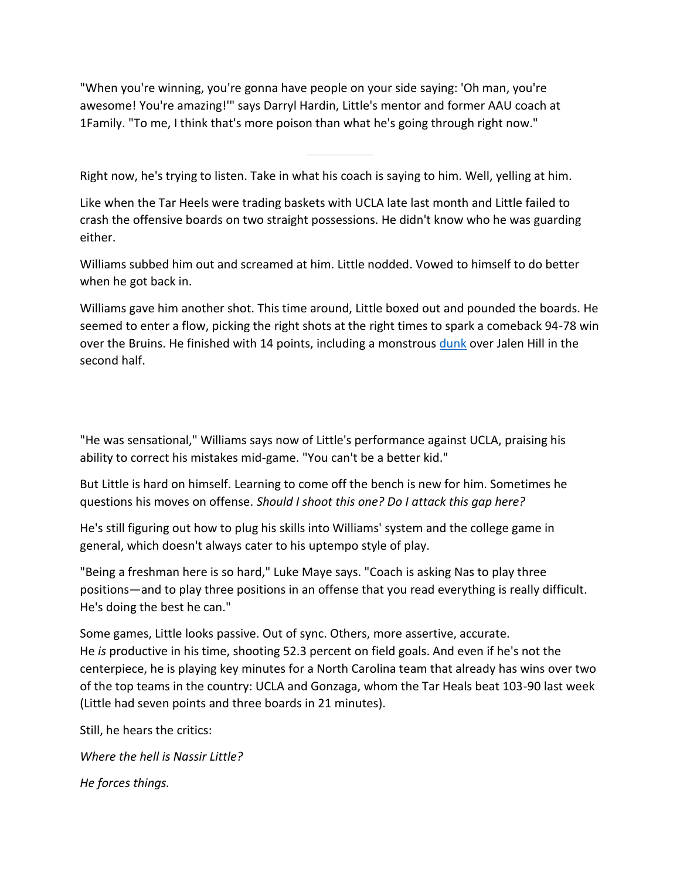"When you're winning, you're gonna have people on your side saying: 'Oh man, you're awesome! You're amazing!'" says Darryl Hardin, Little's mentor and former AAU coach at 1Family. "To me, I think that's more poison than what he's going through right now."

Right now, he's trying to listen. Take in what his coach is saying to him. Well, yelling at him.

Like when the Tar Heels were trading baskets with UCLA late last month and Little failed to crash the offensive boards on two straight possessions. He didn't know who he was guarding either.

Williams subbed him out and screamed at him. Little nodded. Vowed to himself to do better when he got back in.

Williams gave him another shot. This time around, Little boxed out and pounded the boards. He seemed to enter a flow, picking the right shots at the right times to spark a comeback 94-78 win over the Bruins. He finished with 14 points, including a monstrous [dunk](http://www.espn.com/video/clip?id=25357135) over Jalen Hill in the second half.

"He was sensational," Williams says now of Little's performance against UCLA, praising his ability to correct his mistakes mid-game. "You can't be a better kid."

But Little is hard on himself. Learning to come off the bench is new for him. Sometimes he questions his moves on offense. *Should I shoot this one? Do I attack this gap here?*

He's still figuring out how to plug his skills into Williams' system and the college game in general, which doesn't always cater to his uptempo style of play.

"Being a freshman here is so hard," Luke Maye says. "Coach is asking Nas to play three positions—and to play three positions in an offense that you read everything is really difficult. He's doing the best he can."

Some games, Little looks passive. Out of sync. Others, more assertive, accurate. He *is* productive in his time, shooting 52.3 percent on field goals. And even if he's not the centerpiece, he is playing key minutes for a North Carolina team that already has wins over two of the top teams in the country: UCLA and Gonzaga, whom the Tar Heals beat 103-90 last week (Little had seven points and three boards in 21 minutes).

Still, he hears the critics:

*Where the hell is Nassir Little? He forces things.*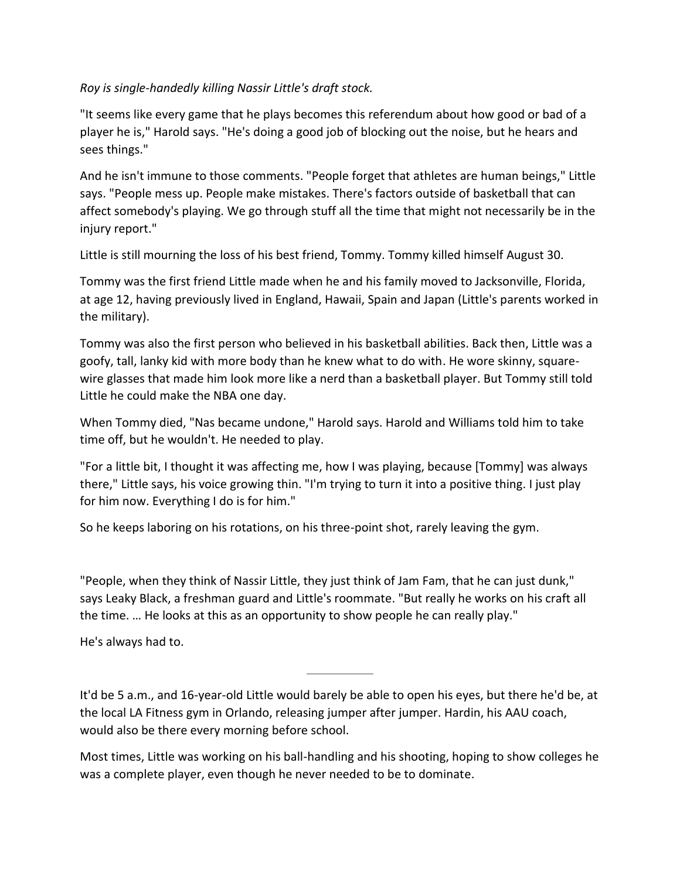## *Roy is single-handedly killing Nassir Little's draft stock.*

"It seems like every game that he plays becomes this referendum about how good or bad of a player he is," Harold says. "He's doing a good job of blocking out the noise, but he hears and sees things."

And he isn't immune to those comments. "People forget that athletes are human beings," Little says. "People mess up. People make mistakes. There's factors outside of basketball that can affect somebody's playing. We go through stuff all the time that might not necessarily be in the injury report."

Little is still mourning the loss of his best friend, Tommy. Tommy killed himself August 30.

Tommy was the first friend Little made when he and his family moved to Jacksonville, Florida, at age 12, having previously lived in England, Hawaii, Spain and Japan (Little's parents worked in the military).

Tommy was also the first person who believed in his basketball abilities. Back then, Little was a goofy, tall, lanky kid with more body than he knew what to do with. He wore skinny, squarewire glasses that made him look more like a nerd than a basketball player. But Tommy still told Little he could make the NBA one day.

When Tommy died, "Nas became undone," Harold says. Harold and Williams told him to take time off, but he wouldn't. He needed to play.

"For a little bit, I thought it was affecting me, how I was playing, because [Tommy] was always there," Little says, his voice growing thin. "I'm trying to turn it into a positive thing. I just play for him now. Everything I do is for him."

So he keeps laboring on his rotations, on his three-point shot, rarely leaving the gym.

"People, when they think of Nassir Little, they just think of Jam Fam, that he can just dunk," says Leaky Black, a freshman guard and Little's roommate. "But really he works on his craft all the time. … He looks at this as an opportunity to show people he can really play."

He's always had to.

It'd be 5 a.m., and 16-year-old Little would barely be able to open his eyes, but there he'd be, at the local LA Fitness gym in Orlando, releasing jumper after jumper. Hardin, his AAU coach, would also be there every morning before school.

Most times, Little was working on his ball-handling and his shooting, hoping to show colleges he was a complete player, even though he never needed to be to dominate.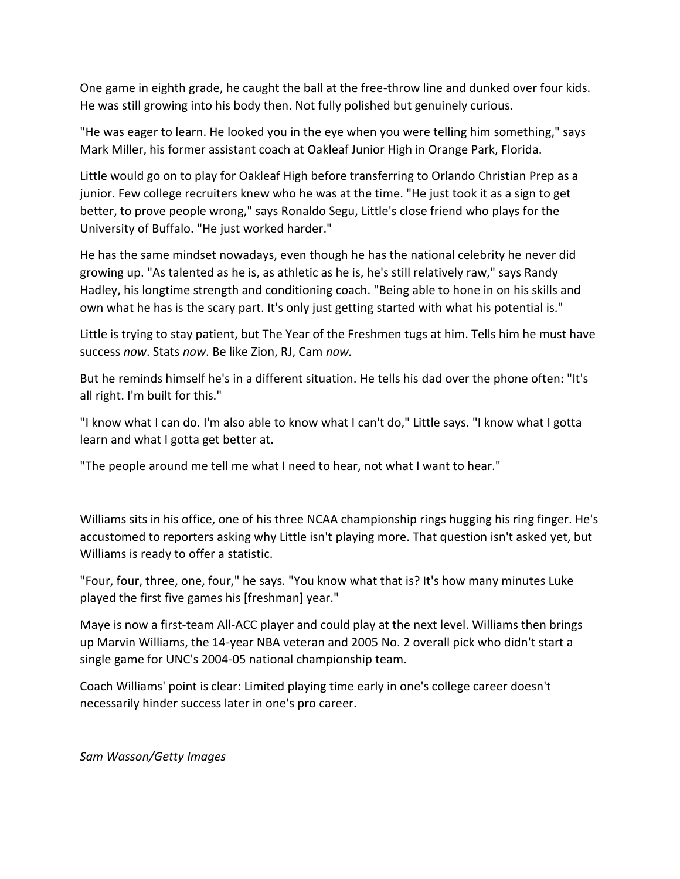One game in eighth grade, he caught the ball at the free-throw line and dunked over four kids. He was still growing into his body then. Not fully polished but genuinely curious.

"He was eager to learn. He looked you in the eye when you were telling him something," says Mark Miller, his former assistant coach at Oakleaf Junior High in Orange Park, Florida.

Little would go on to play for Oakleaf High before transferring to Orlando Christian Prep as a junior. Few college recruiters knew who he was at the time. "He just took it as a sign to get better, to prove people wrong," says Ronaldo Segu, Little's close friend who plays for the University of Buffalo. "He just worked harder."

He has the same mindset nowadays, even though he has the national celebrity he never did growing up. "As talented as he is, as athletic as he is, he's still relatively raw," says Randy Hadley, his longtime strength and conditioning coach. "Being able to hone in on his skills and own what he has is the scary part. It's only just getting started with what his potential is."

Little is trying to stay patient, but The Year of the Freshmen tugs at him. Tells him he must have success *now*. Stats *now*. Be like Zion, RJ, Cam *now.*

But he reminds himself he's in a different situation. He tells his dad over the phone often: "It's all right. I'm built for this."

"I know what I can do. I'm also able to know what I can't do," Little says. "I know what I gotta learn and what I gotta get better at.

"The people around me tell me what I need to hear, not what I want to hear."

Williams sits in his office, one of his three NCAA championship rings hugging his ring finger. He's accustomed to reporters asking why Little isn't playing more. That question isn't asked yet, but Williams is ready to offer a statistic.

"Four, four, three, one, four," he says. "You know what that is? It's how many minutes Luke played the first five games his [freshman] year."

Maye is now a first-team All-ACC player and could play at the next level. Williams then brings up Marvin Williams, the 14-year NBA veteran and 2005 No. 2 overall pick who didn't start a single game for UNC's 2004-05 national championship team.

Coach Williams' point is clear: Limited playing time early in one's college career doesn't necessarily hinder success later in one's pro career.

*Sam Wasson/Getty Images*